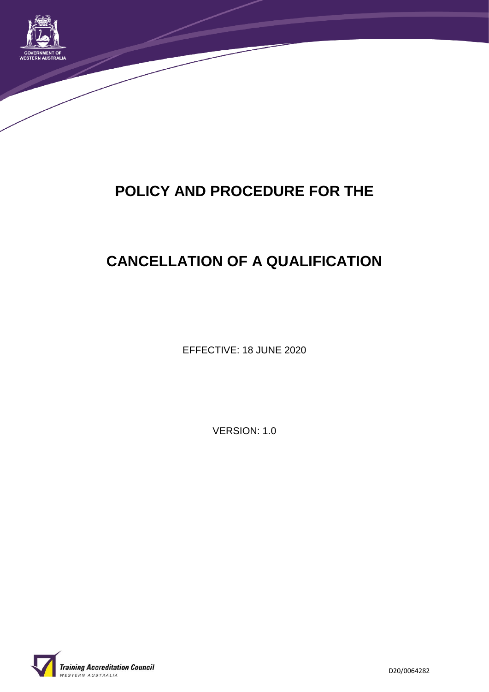

# **POLICY AND PROCEDURE FOR THE**

# **CANCELLATION OF A QUALIFICATION**

EFFECTIVE: 18 JUNE 2020

VERSION: 1.0

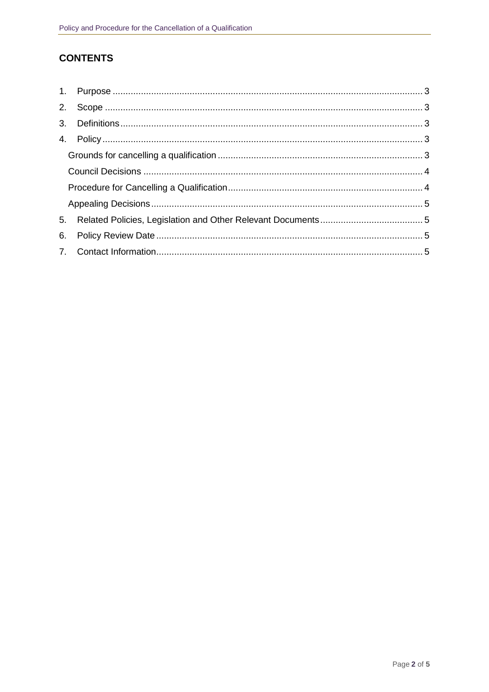## **CONTENTS**

| 5. |  |
|----|--|
| 6. |  |
|    |  |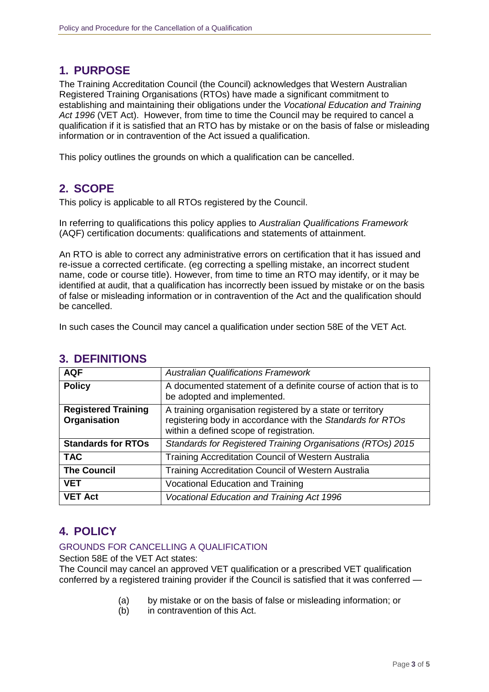## **1. PURPOSE**

The Training Accreditation Council (the Council) acknowledges that Western Australian Registered Training Organisations (RTOs) have made a significant commitment to establishing and maintaining their obligations under the *Vocational Education and Training Act 1996* (VET Act). However, from time to time the Council may be required to cancel a qualification if it is satisfied that an RTO has by mistake or on the basis of false or misleading information or in contravention of the Act issued a qualification.

This policy outlines the grounds on which a qualification can be cancelled.

## **2. SCOPE**

This policy is applicable to all RTOs registered by the Council.

In referring to qualifications this policy applies to *Australian Qualifications Framework* (AQF) certification documents: qualifications and statements of attainment.

An RTO is able to correct any administrative errors on certification that it has issued and re-issue a corrected certificate. (eg correcting a spelling mistake, an incorrect student name, code or course title). However, from time to time an RTO may identify, or it may be identified at audit, that a qualification has incorrectly been issued by mistake or on the basis of false or misleading information or in contravention of the Act and the qualification should be cancelled.

In such cases the Council may cancel a qualification under section 58E of the VET Act.

| <b>AQF</b>                                 | <b>Australian Qualifications Framework</b>                                                                                                                          |
|--------------------------------------------|---------------------------------------------------------------------------------------------------------------------------------------------------------------------|
| <b>Policy</b>                              | A documented statement of a definite course of action that is to<br>be adopted and implemented.                                                                     |
| <b>Registered Training</b><br>Organisation | A training organisation registered by a state or territory<br>registering body in accordance with the Standards for RTOs<br>within a defined scope of registration. |
| <b>Standards for RTOs</b>                  | Standards for Registered Training Organisations (RTOs) 2015                                                                                                         |
| <b>TAC</b>                                 | Training Accreditation Council of Western Australia                                                                                                                 |
| <b>The Council</b>                         | Training Accreditation Council of Western Australia                                                                                                                 |
| <b>VET</b>                                 | <b>Vocational Education and Training</b>                                                                                                                            |
| <b>VET Act</b>                             | Vocational Education and Training Act 1996                                                                                                                          |

### **3. DEFINITIONS**

## **4. POLICY**

### GROUNDS FOR CANCELLING A QUALIFICATION

Section 58E of the VET Act states:

The Council may cancel an approved VET qualification or a prescribed VET qualification conferred by a registered training provider if the Council is satisfied that it was conferred —

- (a) by mistake or on the basis of false or misleading information; or
- (b) in contravention of this Act.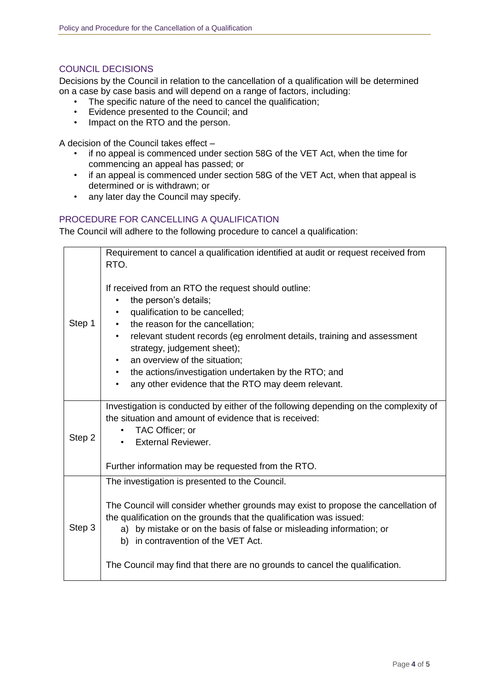#### COUNCIL DECISIONS

Decisions by the Council in relation to the cancellation of a qualification will be determined on a case by case basis and will depend on a range of factors, including:

- The specific nature of the need to cancel the qualification;
- Evidence presented to the Council; and
- Impact on the RTO and the person.

A decision of the Council takes effect –

- if no appeal is commenced under section 58G of the VET Act, when the time for commencing an appeal has passed; or
- if an appeal is commenced under section 58G of the VET Act, when that appeal is determined or is withdrawn; or
- any later day the Council may specify.

#### PROCEDURE FOR CANCELLING A QUALIFICATION

The Council will adhere to the following procedure to cancel a qualification:

|        | Requirement to cancel a qualification identified at audit or request received from                                                                                                                                                                                                                                                                                                                                                                 |
|--------|----------------------------------------------------------------------------------------------------------------------------------------------------------------------------------------------------------------------------------------------------------------------------------------------------------------------------------------------------------------------------------------------------------------------------------------------------|
|        | RTO.                                                                                                                                                                                                                                                                                                                                                                                                                                               |
| Step 1 | If received from an RTO the request should outline:<br>the person's details;<br>$\bullet$<br>qualification to be cancelled;<br>the reason for the cancellation;<br>relevant student records (eg enrolment details, training and assessment<br>strategy, judgement sheet);<br>an overview of the situation;<br>$\bullet$<br>the actions/investigation undertaken by the RTO; and<br>$\bullet$<br>any other evidence that the RTO may deem relevant. |
| Step 2 | Investigation is conducted by either of the following depending on the complexity of<br>the situation and amount of evidence that is received:<br>TAC Officer; or<br><b>External Reviewer.</b><br>Further information may be requested from the RTO.                                                                                                                                                                                               |
|        | The investigation is presented to the Council.                                                                                                                                                                                                                                                                                                                                                                                                     |
| Step 3 | The Council will consider whether grounds may exist to propose the cancellation of<br>the qualification on the grounds that the qualification was issued:<br>by mistake or on the basis of false or misleading information; or<br>a)<br>b) in contravention of the VET Act.                                                                                                                                                                        |
|        | The Council may find that there are no grounds to cancel the qualification.                                                                                                                                                                                                                                                                                                                                                                        |